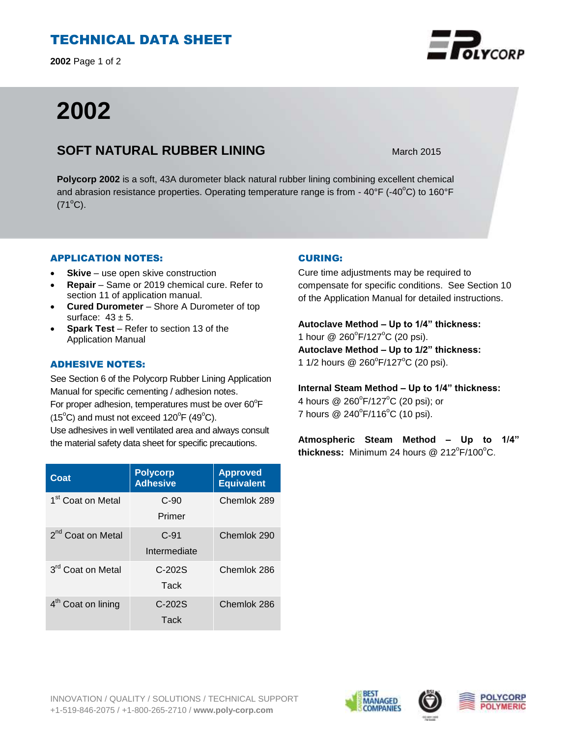# TECHNICAL DATA SHEET

**2002** Page 1 of 2

# **2002**

## **SOFT NATURAL RUBBER LINING** March 2015

**Polycorp 2002** is a soft, 43A durometer black natural rubber lining combining excellent chemical and abrasion resistance properties. Operating temperature range is from -  $40^{\circ}$ F (- $40^{\circ}$ C) to 160°F  $(71^{\circ}C)$ .

## APPLICATION NOTES:

- **Skive** use open skive construction
- **Repair**  Same or 2019 chemical cure. Refer to section 11 of application manual.
- **Cured Durometer**  Shore A Durometer of top surface:  $43 \pm 5$ .
- **Spark Test**  Refer to section 13 of the Application Manual

## ADHESIVE NOTES:

See Section 6 of the Polycorp Rubber Lining Application Manual for specific cementing / adhesion notes. For proper adhesion, temperatures must be over  $60^{\circ}$ F  $(15^{\circ}C)$  and must not exceed  $120^{\circ}F(49^{\circ}C)$ . Use adhesives in well ventilated area and always consult the material safety data sheet for specific precautions.

| Coat                           | <b>Polycorp</b><br><b>Adhesive</b> | <b>Approved</b><br><b>Equivalent</b> |
|--------------------------------|------------------------------------|--------------------------------------|
| 1 <sup>st</sup> Coat on Metal  | $C-90$<br>Primer                   | Chemlok 289                          |
| 2 <sup>nd</sup> Coat on Metal  | $C-91$<br>Intermediate             | Chemlok 290                          |
| 3 <sup>rd</sup> Coat on Metal  | $C-202S$<br>Tack                   | Chemlok 286                          |
| 4 <sup>th</sup> Coat on lining | $C-202S$<br>Tack                   | Chemlok 286                          |

### CURING:

Cure time adjustments may be required to compensate for specific conditions. See Section 10 of the Application Manual for detailed instructions.

**Autoclave Method – Up to 1/4" thickness:**  1 hour  $@$  260 $^{\circ}$ F/127 $^{\circ}$ C (20 psi).

**Autoclave Method – Up to 1/2" thickness:** 1 1/2 hours @ 260°F/127°C (20 psi).

**Internal Steam Method – Up to 1/4" thickness:**  4 hours @ 260 $^{\circ}$ F/127 $^{\circ}$ C (20 psi); or 7 hours  $@$  240 $^{\circ}$ F/116 $^{\circ}$ C (10 psi).

**Atmospheric Steam Method – Up to 1/4"** thickness: Minimum 24 hours @ 212<sup>°</sup>F/100<sup>°</sup>C.